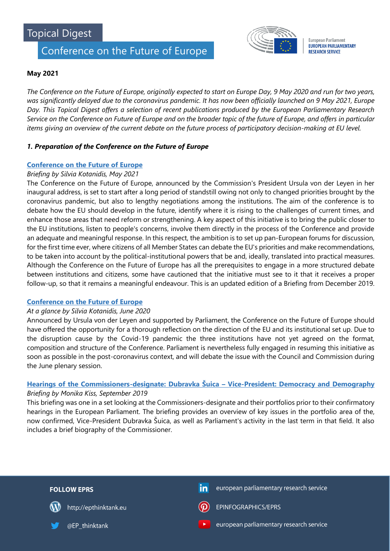# Conference on the Future of Europe



**European Parliament EUROPEAN PARLIAMENTARY RESEARCH SERVICE** 

# **May 2021**

*The Conference on the Future of Europe, originally expected to start on Europe Day, 9 May 2020 and run for two years, was significantly delayed due to the coronavirus pandemic. It has now been officially launched on 9 May 2021, Europe Day. This Topical Digest offers a selection of recent publications produced by the European Parliamentary Research Service on the Conference on Future of Europe and on the broader topic of the future of Europe, and offers in particular items giving an overview of the current debate on the future process of participatory decision-making at EU level.*

# *1. Preparation of the Conference on the Future of Europe*

# **[Conference on the Future of Europe](http://www.europarl.europa.eu/thinktank/en/document.html?reference=EPRS_BRI(2021)690590)**

## *Briefing by Silvia Kotanidis, May 2021*

The Conference on the Future of Europe, announced by the Commission's President Ursula von der Leyen in her inaugural address, is set to start after a long period of standstill owing not only to changed priorities brought by the coronavirus pandemic, but also to lengthy negotiations among the institutions. The aim of the conference is to debate how the EU should develop in the future, identify where it is rising to the challenges of current times, and enhance those areas that need reform or strengthening. A key aspect of this initiative is to bring the public closer to the EU institutions, listen to people's concerns, involve them directly in the process of the Conference and provide an adequate and meaningful response. In this respect, the ambition is to set up pan-European forums for discussion, for the first time ever, where citizens of all Member States can debate the EU's priorities and make recommendations, to be taken into account by the political-institutional powers that be and, ideally, translated into practical measures. Although the Conference on the Future of Europe has all the prerequisites to engage in a more structured debate between institutions and citizens, some have cautioned that the initiative must see to it that it receives a proper follow-up, so that it remains a meaningful endeavour. This is an updated edition of a Briefing from December 2019.

## **[Conference on the Future of Europe](http://www.europarl.europa.eu/thinktank/en/document.html?reference=EPRS_ATA(2020)651959)**

## *At a glance by Silvia Kotanidis, June 2020*

Announced by Ursula von der Leyen and supported by Parliament, the Conference on the Future of Europe should have offered the opportunity for a thorough reflection on the direction of the EU and its institutional set up. Due to the disruption cause by the Covid-19 pandemic the three institutions have not yet agreed on the format, composition and structure of the Conference. Parliament is nevertheless fully engaged in resuming this initiative as soon as possible in the post-coronavirus context, and will debate the issue with the Council and Commission during the June plenary session.

# **Hearings of the Commissioners-designate: Dubravka Šuica – [Vice-President: Democracy and Demography](https://www.europarl.europa.eu/RegData/etudes/BRIE/2019/640176/EPRS_BRI(2019)640176_EN.pdf)** *Briefing by Monika Kiss, September 2019*

This briefing was one in a set looking at the Commissioners-designate and their portfolios prior to their confirmatory hearings in the European Parliament. The briefing provides an overview of key issues in the portfolio area of the, now confirmed, Vice-President Dubravka Šuica, as well as Parliament's activity in the last term in that field. It also includes a brief biography of the Commissioner.

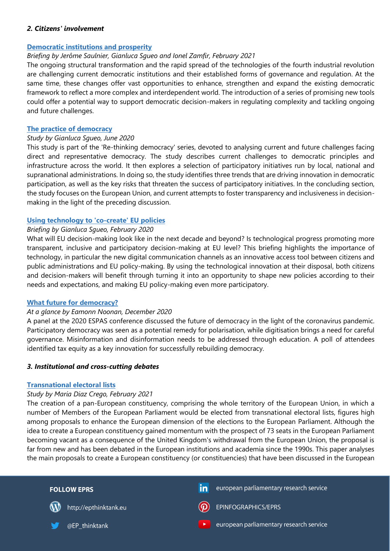## *2. Citizens' involvement*

## **[Democratic institutions and prosperity](https://www.europarl.europa.eu/RegData/etudes/BRIE/2021/679080/EPRS_BRI(2021)679080_EN.pdf)**

## *Briefing by Jerôme Saulnier, Gianluca Sgueo and Ionel Zamfir, February 2021*

The ongoing structural transformation and the rapid spread of the technologies of the fourth industrial revolution are challenging current democratic institutions and their established forms of governance and regulation. At the same time, these changes offer vast opportunities to enhance, strengthen and expand the existing democratic framework to reflect a more complex and interdependent world. The introduction of a series of promising new tools could offer a potential way to support democratic decision-makers in regulating complexity and tackling ongoing and future challenges.

#### **[The practice of democracy](https://www.europarl.europa.eu/RegData/etudes/STUD/2020/651970/EPRS_STU(2020)651970_EN.pdf)**

### *Study by Gianluca Sgueo, June 2020*

This study is part of the 'Re-thinking democracy' series, devoted to analysing current and future challenges facing direct and representative democracy. The study describes current challenges to democratic principles and infrastructure across the world. It then explores a selection of participatory initiatives run by local, national and supranational administrations. In doing so, the study identifies three trends that are driving innovation in democratic participation, as well as the key risks that threaten the success of participatory initiatives. In the concluding section, the study focuses on the European Union, and current attempts to foster transparency and inclusiveness in decisionmaking in the light of the preceding discussion.

## **[Using technology to 'co-create' EU policies](https://www.europarl.europa.eu/RegData/etudes/BRIE/2020/646127/EPRS_BRI(2020)646127_EN.pdf)**

## *Briefing by Gianluca Sgueo, February 2020*

What will EU decision-making look like in the next decade and beyond? Is technological progress promoting more transparent, inclusive and participatory decision-making at EU level? This briefing highlights the importance of technology, in particular the new digital communication channels as an innovative access tool between citizens and public administrations and EU policy-making. By using the technological innovation at their disposal, both citizens and decision-makers will benefit through turning it into an opportunity to shape new policies according to their needs and expectations, and making EU policy-making even more participatory.

## **[What future for democracy?](https://www.europarl.europa.eu/thinktank/en/document.html?reference=EPRS_ATA(2020)659394)**

## *At a glance by Eamonn Noonan, December 2020*

A panel at the 2020 ESPAS conference discussed the future of democracy in the light of the coronavirus pandemic. Participatory democracy was seen as a potential remedy for polarisation, while digitisation brings a need for careful governance. Misinformation and disinformation needs to be addressed through education. A poll of attendees identified tax equity as a key innovation for successfully rebuilding democracy*.*

## *3. Institutional and cross-cutting debates*

#### **[Transnational electoral lists](https://www.europarl.europa.eu/RegData/etudes/STUD/2021/679084/EPRS_STU(2021)679084_EN.pdf)**

#### *Study by Maria Diaz Crego, February 2021*

The creation of a pan-European constituency, comprising the whole territory of the European Union, in which a number of Members of the European Parliament would be elected from transnational electoral lists, figures high among proposals to enhance the European dimension of the elections to the European Parliament. Although the idea to create a European constituency gained momentum with the prospect of 73 seats in the European Parliament becoming vacant as a consequence of the United Kingdom's withdrawal from the European Union, the proposal is far from new and has been debated in the European institutions and academia since the 1990s. This paper analyses the main proposals to create a European constituency (or constituencies) that have been discussed in the European

| <b>FOLLOW EPRS</b>                      | in<br>european parliamentary research service |
|-----------------------------------------|-----------------------------------------------|
| http://epthinktank.eu<br>$(\mathbf{W})$ | EPINFOGRAPHICS/EPRS<br>$\left( $              |
| @EP_thinktank                           | european parliamentary research service<br>73 |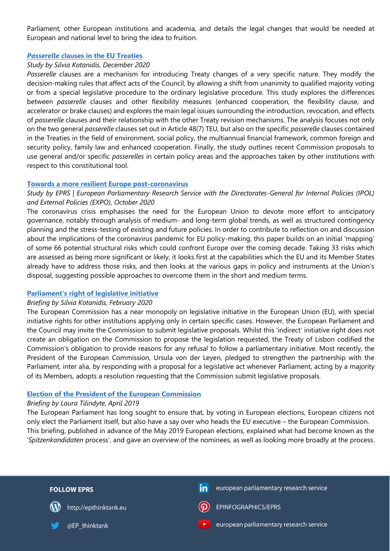Parliament, other European institutions and academia, and details the legal changes that would be needed at European and national level to bring the idea to fruition.

## *Passerelle* **[clauses in the EU Treaties](https://www.europarl.europa.eu/RegData/etudes/STUD/2020/659420/EPRS_STU(2020)659420_EN.pdf)**

## *Study by Silvia Kotanidis, December 2020*

*Passerelle* clauses are a mechanism for introducing Treaty changes of a very specific nature. They modify the decision-making rules that affect acts of the Council, by allowing a shift from unanimity to qualified majority voting or from a special legislative procedure to the ordinary legislative procedure. This study explores the differences between *passerelle* clauses and other flexibility measures (enhanced cooperation, the flexibility clause, and accelerator or brake clauses) and explores the main legal issues surrounding the introduction, revocation, and effects of *passerelle* clauses and their relationship with the other Treaty revision mechanisms. The analysis focuses not only on the two general *passerelle* clauses set out in Article 48(7) TEU, but also on the specific *passerelle* clauses contained in the Treaties in the field of environment, social policy, the multiannual financial framework, common foreign and security policy, family law and enhanced cooperation. Finally, the study outlines recent Commission proposals to use general and/or specific *passerelles* in certain policy areas and the approaches taken by other institutions with respect to this constitutional tool.

## **[Towards a more resilient Europe post-coronavirus](https://www.europarl.europa.eu/RegData/etudes/STUD/2020/652024/EPRS_STU(2020)652024_EN.pdf)**

# *Study by EPRS | European Parliamentary Research Service with the Directorates-General for Internal Policies (IPOL) and External Policies (EXPO), October 2020*

The coronavirus crisis emphasises the need for the European Union to devote more effort to anticipatory governance, notably through analysis of medium- and long-term global trends, as well as structured contingency planning and the stress-testing of existing and future policies. In order to contribute to reflection on and discussion about the implications of the coronavirus pandemic for EU policy-making, this paper builds on an initial 'mapping' of some 66 potential structural risks which could confront Europe over the coming decade. Taking 33 risks which are assessed as being more significant or likely, it looks first at the capabilities which the EU and its Member States already have to address those risks, and then looks at the various gaps in policy and instruments at the Union's disposal, suggesting possible approaches to overcome them in the short and medium terms.

#### **[Parliament's right of legislative initiative](https://www.europarl.europa.eu/RegData/etudes/BRIE/2020/646174/EPRS_BRI(2020)646174_EN.pdf)**

#### *Briefing by Silvia Kotanidis, February 2020*

The European Commission has a near monopoly on legislative initiative in the European Union (EU), with special initiative rights for other institutions applying only in certain specific cases. However, the European Parliament and the Council may invite the Commission to submit legislative proposals. Whilst this 'indirect' initiative right does not create an obligation on the Commission to propose the legislation requested, the Treaty of Lisbon codified the Commission's obligation to provide reasons for any refusal to follow a parliamentary initiative. Most recently, the President of the European Commission, Ursula von der Leyen, pledged to strengthen the partnership with the Parliament, inter alia, by responding with a proposal for a legislative act whenever Parliament, acting by a majority of its Members, adopts a resolution requesting that the Commission submit legislative proposals.

## **Election of the [President of the European Commission](https://www.europarl.europa.eu/RegData/etudes/BRIE/2018/630264/EPRS_BRI(2018)630264_EN.pdf)**

#### *Briefing by Laura Tilindyte, April 2019*

The European Parliament has long sought to ensure that, by voting in European elections, European citizens not only elect the Parliament itself, but also have a say over who heads the EU executive – the European Commission. This briefing, published in advance of the May 2019 European elections, explained what had become known as the '*Spitzenkandidaten* process', and gave an overview of the nominees, as well as looking more broadly at the process.